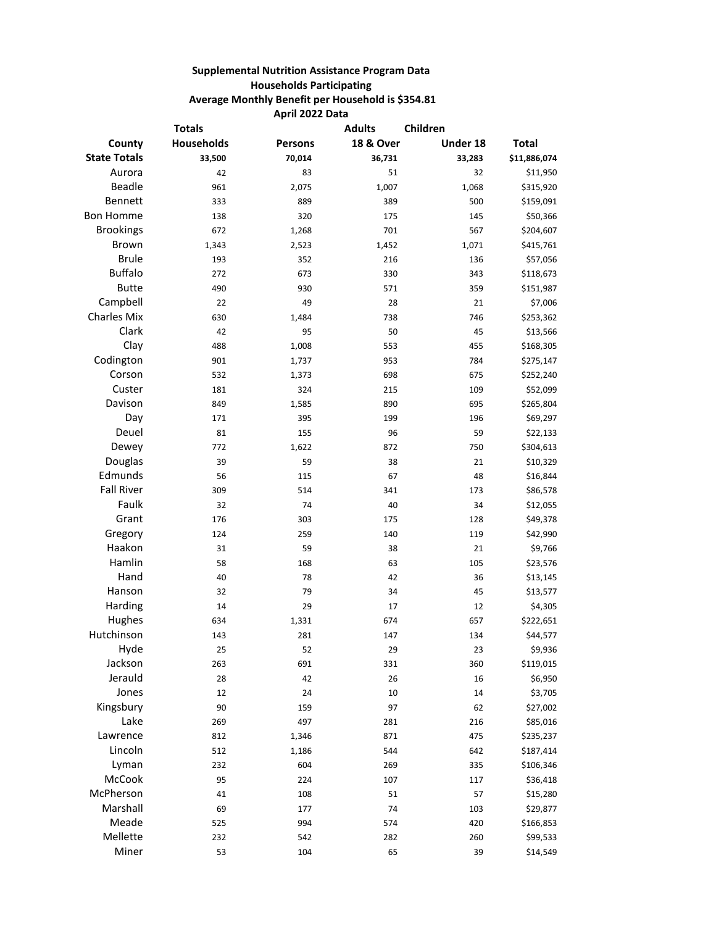## **Supplemental Nutrition Assistance Program Data Households Participating Average Monthly Benefit per Household is \$354.81 April 2022 Data**

| <b>Totals</b>       |                   |                | <b>Adults</b><br>Children |          |              |
|---------------------|-------------------|----------------|---------------------------|----------|--------------|
| County              | <b>Households</b> | <b>Persons</b> | <b>18 &amp; Over</b>      | Under 18 | <b>Total</b> |
| <b>State Totals</b> | 33,500            | 70,014         | 36,731                    | 33,283   | \$11,886,074 |
| Aurora              | 42                | 83             | 51                        | 32       | \$11,950     |
| <b>Beadle</b>       | 961               | 2,075          | 1,007                     | 1,068    | \$315,920    |
| Bennett             | 333               | 889            | 389                       | 500      | \$159,091    |
| <b>Bon Homme</b>    | 138               | 320            | 175                       | 145      | \$50,366     |
| <b>Brookings</b>    | 672               | 1,268          | 701                       | 567      | \$204,607    |
| <b>Brown</b>        | 1,343             | 2,523          | 1,452                     | 1,071    | \$415,761    |
| <b>Brule</b>        | 193               | 352            | 216                       | 136      | \$57,056     |
| <b>Buffalo</b>      | 272               | 673            | 330                       | 343      | \$118,673    |
| <b>Butte</b>        | 490               | 930            | 571                       | 359      | \$151,987    |
| Campbell            | 22                | 49             | 28                        | 21       | \$7,006      |
| <b>Charles Mix</b>  | 630               | 1,484          | 738                       | 746      | \$253,362    |
| Clark               | 42                | 95             | 50                        | 45       | \$13,566     |
| Clay                | 488               | 1,008          | 553                       | 455      | \$168,305    |
| Codington           | 901               | 1,737          | 953                       | 784      | \$275,147    |
| Corson              | 532               | 1,373          | 698                       | 675      | \$252,240    |
| Custer              | 181               | 324            | 215                       | 109      | \$52,099     |
| Davison             | 849               | 1,585          | 890                       | 695      | \$265,804    |
| Day                 | 171               | 395            | 199                       | 196      | \$69,297     |
| Deuel               | 81                | 155            | 96                        | 59       | \$22,133     |
| Dewey               | 772               | 1,622          | 872                       | 750      | \$304,613    |
| Douglas             | 39                | 59             | 38                        | 21       | \$10,329     |
| Edmunds             | 56                | 115            | 67                        | 48       | \$16,844     |
| <b>Fall River</b>   | 309               | 514            | 341                       | 173      | \$86,578     |
| Faulk               | 32                | 74             | 40                        | 34       | \$12,055     |
| Grant               | 176               | 303            | 175                       | 128      | \$49,378     |
| Gregory             | 124               | 259            | 140                       | 119      | \$42,990     |
| Haakon              | 31                | 59             | 38                        | 21       | \$9,766      |
| Hamlin              | 58                | 168            | 63                        | 105      | \$23,576     |
| Hand                | 40                | 78             | 42                        | 36       | \$13,145     |
| Hanson              | 32                | 79             | 34                        | 45       | \$13,577     |
| Harding             | 14                | 29             | 17                        | 12       | \$4,305      |
| Hughes              | 634               | 1,331          | 674                       | 657      | \$222,651    |
| Hutchinson          | 143               | 281            | 147                       | 134      | \$44,577     |
| Hyde                | 25                | 52             | 29                        | 23       | \$9,936      |
| Jackson             | 263               | 691            | 331                       | 360      | \$119,015    |
| Jerauld             | 28                | 42             | 26                        | 16       | \$6,950      |
| Jones               | 12                | 24             | 10                        | 14       | \$3,705      |
| Kingsbury           | 90                | 159            | 97                        | 62       | \$27,002     |
| Lake                | 269               | 497            | 281                       | 216      | \$85,016     |
| Lawrence            | 812               | 1,346          | 871                       | 475      | \$235,237    |
| Lincoln             | 512               | 1,186          | 544                       | 642      | \$187,414    |
| Lyman               | 232               | 604            | 269                       | 335      | \$106,346    |
| McCook              | 95                | 224            | 107                       | 117      | \$36,418     |
| McPherson           | 41                | 108            | 51                        | 57       | \$15,280     |
| Marshall            | 69                | 177            | 74                        | 103      | \$29,877     |
| Meade               | 525               | 994            | 574                       | 420      | \$166,853    |
| Mellette            | 232               | 542            | 282                       | 260      | \$99,533     |
| Miner               | 53                | 104            | 65                        | 39       | \$14,549     |